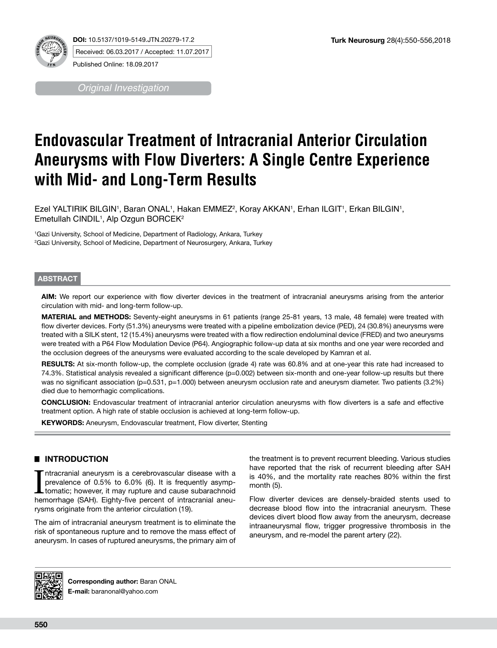

**DOI:** 10.5137/1019-5149.JTN.20279-17.2 Received: 06.03.2017 / Accepted: 11.07.2017 Published Online: 18.09.2017

*Original Investigation*

# **Endovascular Treatment of Intracranial Anterior Circulation Aneurysms with Flow Diverters: A Single Centre Experience with Mid- and Long-Term Results**

Ezel YALTIRIK BILGIN', Baran ONAL', Hakan EMMEZ<sup>2</sup>, Koray AKKAN', Erhan ILGIT', Erkan BILGIN', Emetullah CINDIL1 , Alp Ozgun BORCEK2

1 Gazi University, School of Medicine, Department of Radiology, Ankara, Turkey 2 Gazi University, School of Medicine, Department of Neurosurgery, Ankara, Turkey

## **ABSTRACT**

**AIM:** We report our experience with flow diverter devices in the treatment of intracranial aneurysms arising from the anterior circulation with mid- and long-term follow-up.

**MATERIAL and METHODS:** Seventy-eight aneurysms in 61 patients (range 25-81 years, 13 male, 48 female) were treated with flow diverter devices. Forty (51.3%) aneurysms were treated with a pipeline embolization device (PED), 24 (30.8%) aneurysms were treated with a SILK stent, 12 (15.4%) aneurysms were treated with a flow redirection endoluminal device (FRED) and two aneurysms were treated with a P64 Flow Modulation Device (P64). Angiographic follow-up data at six months and one year were recorded and the occlusion degrees of the aneurysms were evaluated according to the scale developed by Kamran et al.

**RESULTS:** At six-month follow-up, the complete occlusion (grade 4) rate was 60.8% and at one-year this rate had increased to 74.3%. Statistical analysis revealed a significant difference (p=0.002) between six-month and one-year follow-up results but there was no significant association (p=0.531, p=1.000) between aneurysm occlusion rate and aneurysm diameter. Two patients (3.2%) died due to hemorrhagic complications.

**CONCLUSION:** Endovascular treatment of intracranial anterior circulation aneurysms with flow diverters is a safe and effective treatment option. A high rate of stable occlusion is achieved at long-term follow-up.

**KEYWORDS:** Aneurysm, Endovascular treatment, Flow diverter, Stenting

# █ **INTRODUCTION**

Intracranial aneurysm is a cerebrovascular disease with a prevalence of 0.5% to 6.0% (6). It is frequently asymptomatic; however, it may rupture and cause subarachnoid hemorrhage (SAH). Eighty-five percent of intracranial ntracranial aneurysm is a cerebrovascular disease with a prevalence of 0.5% to 6.0% (6). It is frequently asymptomatic; however, it may rupture and cause subarachnoid rysms originate from the anterior circulation (19).

The aim of intracranial aneurysm treatment is to eliminate the risk of spontaneous rupture and to remove the mass effect of aneurysm. In cases of ruptured aneurysms, the primary aim of the treatment is to prevent recurrent bleeding. Various studies have reported that the risk of recurrent bleeding after SAH is 40%, and the mortality rate reaches 80% within the first month (5).

Flow diverter devices are densely-braided stents used to decrease blood flow into the intracranial aneurysm. These devices divert blood flow away from the aneurysm, decrease intraaneurysmal flow, trigger progressive thrombosis in the aneurysm, and re-model the parent artery (22).



**Corresponding author:** Baran ONAL **E-mail:** baranonal@yahoo.com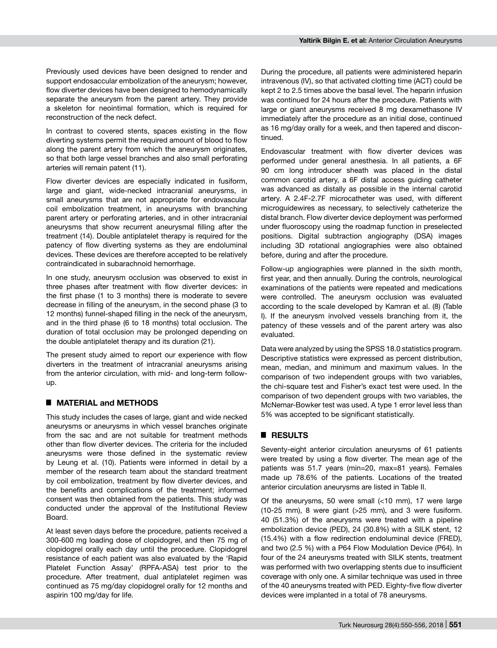Previously used devices have been designed to render and support endosaccular embolization of the aneurysm; however, flow diverter devices have been designed to hemodynamically separate the aneurysm from the parent artery. They provide a skeleton for neointimal formation, which is required for reconstruction of the neck defect.

In contrast to covered stents, spaces existing in the flow diverting systems permit the required amount of blood to flow along the parent artery from which the aneurysm originates, so that both large vessel branches and also small perforating arteries will remain patent (11).

Flow diverter devices are especially indicated in fusiform, large and giant, wide-necked intracranial aneurysms, in small aneurysms that are not appropriate for endovascular coil embolization treatment, in aneurysms with branching parent artery or perforating arteries, and in other intracranial aneurysms that show recurrent aneurysmal filling after the treatment (14). Double antiplatelet therapy is required for the patency of flow diverting systems as they are endoluminal devices. These devices are therefore accepted to be relatively contraindicated in subarachnoid hemorrhage.

In one study, aneurysm occlusion was observed to exist in three phases after treatment with flow diverter devices: in the first phase (1 to 3 months) there is moderate to severe decrease in filling of the aneurysm, in the second phase (3 to 12 months) funnel-shaped filling in the neck of the aneurysm, and in the third phase (6 to 18 months) total occlusion. The duration of total occlusion may be prolonged depending on the double antiplatelet therapy and its duration (21).

The present study aimed to report our experience with flow diverters in the treatment of intracranial aneurysms arising from the anterior circulation, with mid- and long-term followup.

#### █ **MATERIAL and METHODS**

This study includes the cases of large, giant and wide necked aneurysms or aneurysms in which vessel branches originate from the sac and are not suitable for treatment methods other than flow diverter devices. The criteria for the included aneurysms were those defined in the systematic review by Leung et al. (10). Patients were informed in detail by a member of the research team about the standard treatment by coil embolization, treatment by flow diverter devices, and the benefits and complications of the treatment; informed consent was then obtained from the patients. This study was conducted under the approval of the Institutional Review Board.

At least seven days before the procedure, patients received a 300-600 mg loading dose of clopidogrel, and then 75 mg of clopidogrel orally each day until the procedure. Clopidogrel resistance of each patient was also evaluated by the 'Rapid Platelet Function Assay' (RPFA-ASA) test prior to the procedure. After treatment, dual antiplatelet regimen was continued as 75 mg/day clopidogrel orally for 12 months and aspirin 100 mg/day for life.

During the procedure, all patients were administered heparin intravenous (IV), so that activated clotting time (ACT) could be kept 2 to 2.5 times above the basal level. The heparin infusion was continued for 24 hours after the procedure. Patients with large or giant aneurysms received 8 mg dexamethasone IV immediately after the procedure as an initial dose, continued as 16 mg/day orally for a week, and then tapered and discontinued.

Endovascular treatment with flow diverter devices was performed under general anesthesia. In all patients, a 6F 90 cm long introducer sheath was placed in the distal common carotid artery, a 6F distal access guiding catheter was advanced as distally as possible in the internal carotid artery. A 2.4F-2.7F microcatheter was used, with different microguidewires as necessary, to selectively catheterize the distal branch. Flow diverter device deployment was performed under fluoroscopy using the roadmap function in preselected positions. Digital subtraction angiography (DSA) images including 3D rotational angiographies were also obtained before, during and after the procedure.

Follow-up angiographies were planned in the sixth month, first year, and then annually. During the controls, neurological examinations of the patients were repeated and medications were controlled. The aneurysm occlusion was evaluated according to the scale developed by Kamran et al. (8) (Table I). If the aneurysm involved vessels branching from it, the patency of these vessels and of the parent artery was also evaluated.

Data were analyzed by using the SPSS 18.0 statistics program. Descriptive statistics were expressed as percent distribution, mean, median, and minimum and maximum values. In the comparison of two independent groups with two variables, the chi-square test and Fisher's exact test were used. In the comparison of two dependent groups with two variables, the McNemar-Bowker test was used. A type 1 error level less than 5% was accepted to be significant statistically.

#### █ **RESULTS**

Seventy-eight anterior circulation aneurysms of 61 patients were treated by using a flow diverter. The mean age of the patients was 51.7 years (min=20, max=81 years). Females made up 78.6% of the patients. Locations of the treated anterior circulation aneurysms are listed in Table II.

Of the aneurysms, 50 were small (<10 mm), 17 were large (10-25 mm), 8 were giant (>25 mm), and 3 were fusiform. 40 (51.3%) of the aneurysms were treated with a pipeline embolization device (PED), 24 (30.8%) with a SILK stent, 12 (15.4%) with a flow redirection endoluminal device (FRED), and two (2.5 %) with a P64 Flow Modulation Device (P64). In four of the 24 aneurysms treated with SILK stents, treatment was performed with two overlapping stents due to insufficient coverage with only one. A similar technique was used in three of the 40 aneurysms treated with PED. Eighty-five flow diverter devices were implanted in a total of 78 aneurysms.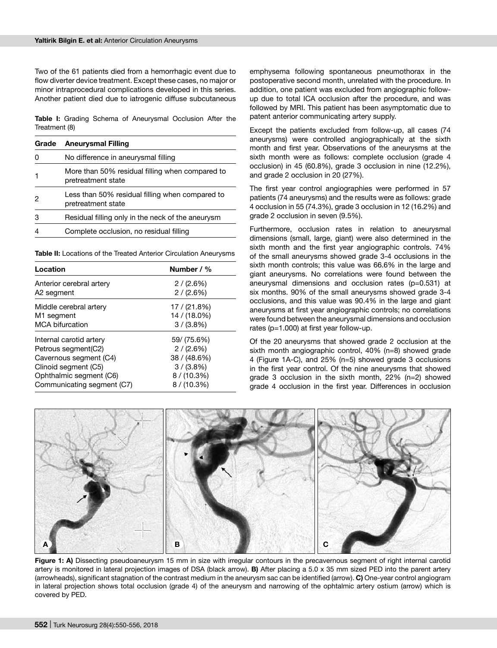Two of the 61 patients died from a hemorrhagic event due to flow diverter device treatment. Except these cases, no major or minor intraprocedural complications developed in this series. Another patient died due to iatrogenic diffuse subcutaneous

**Table I:** Grading Schema of Aneurysmal Occlusion After the Treatment (8)

| Grade | <b>Aneurysmal Filling</b>                                             |  |
|-------|-----------------------------------------------------------------------|--|
| 0     | No difference in aneurysmal filling                                   |  |
|       | More than 50% residual filling when compared to<br>pretreatment state |  |
| 2     | Less than 50% residual filling when compared to<br>pretreatment state |  |
| 3     | Residual filling only in the neck of the aneurysm                     |  |
| 4     | Complete occlusion, no residual filling                               |  |

**Table II:** Locations of the Treated Anterior Circulation Aneurysms

| Location                   | Number / %     |
|----------------------------|----------------|
| Anterior cerebral artery   | 2/(2.6%)       |
| A2 segment                 | 2/(2.6%)       |
| Middle cerebral artery     | 17/ (21.8%)    |
| M <sub>1</sub> segment     | 14 / (18.0%)   |
| <b>MCA bifurcation</b>     | $3/(3.8\%)$    |
| Internal carotid artery    | 59/ (75.6%)    |
| Petrous segment(C2)        | 2/(2.6%)       |
| Cavernous segment (C4)     | 38 / (48.6%)   |
| Clinoid segment (C5)       | $3/(3.8\%)$    |
| Ophthalmic segment (C6)    | $8 / (10.3\%)$ |
| Communicating segment (C7) | $8/ (10.3\%)$  |

emphysema following spontaneous pneumothorax in the postoperative second month, unrelated with the procedure. In addition, one patient was excluded from angiographic followup due to total ICA occlusion after the procedure, and was followed by MRI. This patient has been asymptomatic due to patent anterior communicating artery supply.

Except the patients excluded from follow-up, all cases (74 aneurysms) were controlled angiographically at the sixth month and first year. Observations of the aneurysms at the sixth month were as follows: complete occlusion (grade 4 occlusion) in 45 (60.8%), grade 3 occlusion in nine (12.2%), and grade 2 occlusion in 20 (27%).

The first year control angiographies were performed in 57 patients (74 aneurysms) and the results were as follows: grade 4 occlusion in 55 (74.3%), grade 3 occlusion in 12 (16.2%) and grade 2 occlusion in seven (9.5%).

Furthermore, occlusion rates in relation to aneurysmal dimensions (small, large, giant) were also determined in the sixth month and the first year angiographic controls. 74% of the small aneurysms showed grade 3-4 occlusions in the sixth month controls; this value was 66.6% in the large and giant aneurysms. No correlations were found between the aneurysmal dimensions and occlusion rates (p=0.531) at six months. 90% of the small aneurysms showed grade 3-4 occlusions, and this value was 90.4% in the large and giant aneurysms at first year angiographic controls; no correlations were found between the aneurysmal dimensions and occlusion rates (p=1.000) at first year follow-up.

Of the 20 aneurysms that showed grade 2 occlusion at the sixth month angiographic control, 40% (n=8) showed grade 4 (Figure 1A-C), and 25% (n=5) showed grade 3 occlusions in the first year control. Of the nine aneurysms that showed grade 3 occlusion in the sixth month, 22% (n=2) showed grade 4 occlusion in the first year. Differences in occlusion



Figure 1: A) Dissecting pseudoaneurysm 15 mm in size with irregular contours in the precavernous segment of right internal carotid artery is monitored in lateral projection images of DSA (black arrow). **B)** After placing a 5.0 x 35 mm sized PED into the parent artery (arrowheads), significant stagnation of the contrast medium in the aneurysm sac can be identified (arrow). **C)** One-year control angiogram in lateral projection shows total occlusion (grade 4) of the aneurysm and narrowing of the ophtalmic artery ostium (arrow) which is covered by PED.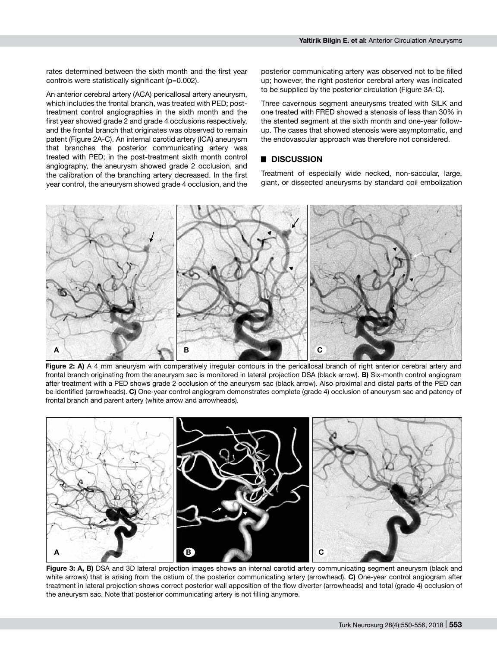rates determined between the sixth month and the first year controls were statistically significant (p=0.002).

An anterior cerebral artery (ACA) pericallosal artery aneurysm, which includes the frontal branch, was treated with PED; posttreatment control angiographies in the sixth month and the first year showed grade 2 and grade 4 occlusions respectively, and the frontal branch that originates was observed to remain patent (Figure 2A-C). An internal carotid artery (ICA) aneurysm that branches the posterior communicating artery was treated with PED; in the post-treatment sixth month control angiography, the aneurysm showed grade 2 occlusion, and the calibration of the branching artery decreased. In the first year control, the aneurysm showed grade 4 occlusion, and the posterior communicating artery was observed not to be filled up; however, the right posterior cerebral artery was indicated to be supplied by the posterior circulation (Figure 3A-C).

Three cavernous segment aneurysms treated with SILK and one treated with FRED showed a stenosis of less than 30% in the stented segment at the sixth month and one-year followup. The cases that showed stenosis were asymptomatic, and the endovascular approach was therefore not considered.

#### █ **DISCUSSION**

Treatment of especially wide necked, non-saccular, large, giant, or dissected aneurysms by standard coil embolization



Figure 2: A) A 4 mm aneurysm with comperatively irregular contours in the pericallosal branch of right anterior cerebral artery and frontal branch originating from the aneurysm sac is monitored in lateral projection DSA (black arrow). **B)** Six-month control angiogram after treatment with a PED shows grade 2 occlusion of the aneurysm sac (black arrow). Also proximal and distal parts of the PED can be identified (arrowheads). **C)** One-year control angiogram demonstrates complete (grade 4) occlusion of aneurysm sac and patency of frontal branch and parent artery (white arrow and arrowheads).



**Figure 3: A, B)** DSA and 3D lateral projection images shows an internal carotid artery communicating segment aneurysm (black and white arrows) that is arising from the ostium of the posterior communicating artery (arrowhead). **C)** One-year control angiogram after treatment in lateral projection shows correct posterior wall apposition of the flow diverter (arrowheads) and total (grade 4) occlusion of the aneurysm sac. Note that posterior communicating artery is not filling anymore.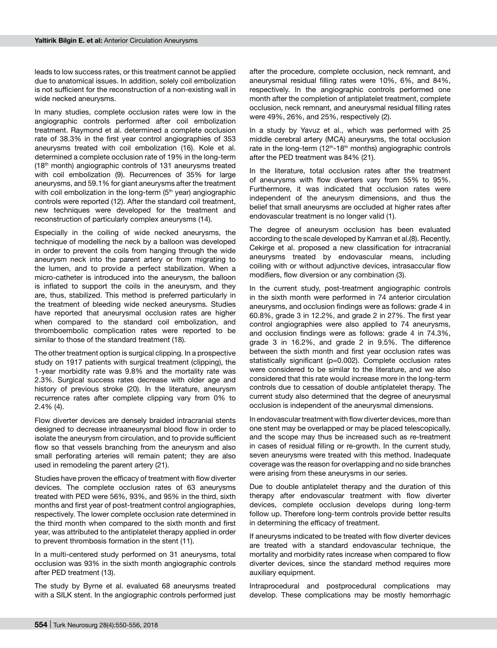leads to low success rates, or this treatment cannot be applied due to anatomical issues. In addition, solely coil embolization is not sufficient for the reconstruction of a non-existing wall in wide necked aneurysms.

In many studies, complete occlusion rates were low in the angiographic controls performed after coil embolization treatment. Raymond et al. determined a complete occlusion rate of 38.3% in the first year control angiographies of 353 aneurysms treated with coil embolization (16). Kole et al. determined a complete occlusion rate of 19% in the long-term (18th month) angiographic controls of 131 aneurysms treated with coil embolization (9). Recurrences of 35% for large aneurysms, and 59.1% for giant aneurysms after the treatment with coil embolization in the long-term (5<sup>th</sup> year) angiographic controls were reported (12). After the standard coil treatment, new techniques were developed for the treatment and reconstruction of particularly complex aneurysms (14).

Especially in the coiling of wide necked aneurysms, the technique of modelling the neck by a balloon was developed in order to prevent the coils from hanging through the wide aneurysm neck into the parent artery or from migrating to the lumen, and to provide a perfect stabilization. When a micro-catheter is introduced into the aneurysm, the balloon is inflated to support the coils in the aneurysm, and they are, thus, stabilized. This method is preferred particularly in the treatment of bleeding wide necked aneurysms. Studies have reported that aneurysmal occlusion rates are higher when compared to the standard coil embolization, and thromboembolic complication rates were reported to be similar to those of the standard treatment (18).

The other treatment option is surgical clipping. In a prospective study on 1917 patients with surgical treatment (clipping), the 1-year morbidity rate was 9.8% and the mortality rate was 2.3%. Surgical success rates decrease with older age and history of previous stroke (20). In the literature, aneurysm recurrence rates after complete clipping vary from 0% to 2.4% (4).

Flow diverter devices are densely braided intracranial stents designed to decrease intraaneurysmal blood flow in order to isolate the aneurysm from circulation, and to provide sufficient flow so that vessels branching from the aneurysm and also small perforating arteries will remain patent; they are also used in remodeling the parent artery (21).

Studies have proven the efficacy of treatment with flow diverter devices. The complete occlusion rates of 63 aneurysms treated with PED were 56%, 93%, and 95% in the third, sixth months and first year of post-treatment control angiographies, respectively. The lower complete occlusion rate determined in the third month when compared to the sixth month and first year, was attributed to the antiplatelet therapy applied in order to prevent thrombosis formation in the stent (11).

In a multi-centered study performed on 31 aneurysms, total occlusion was 93% in the sixth month angiographic controls after PED treatment (13).

The study by Byrne et al. evaluated 68 aneurysms treated with a SILK stent. In the angiographic controls performed just after the procedure, complete occlusion, neck remnant, and aneurysmal residual filling rates were 10%, 6%, and 84%, respectively. In the angiographic controls performed one month after the completion of antiplatelet treatment, complete occlusion, neck remnant, and aneurysmal residual filling rates were 49%, 26%, and 25%, respectively (2).

In a study by Yavuz et al., which was performed with 25 middle cerebral artery (MCA) aneurysms, the total occlusion rate in the long-term  $(12<sup>th</sup>-18<sup>th</sup>$  months) angiographic controls after the PED treatment was 84% (21).

In the literature, total occlusion rates after the treatment of aneurysms with flow diverters vary from 55% to 95%. Furthermore, it was indicated that occlusion rates were independent of the aneurysm dimensions, and thus the belief that small aneurysms are occluded at higher rates after endovascular treatment is no longer valid (1).

The degree of aneurysm occlusion has been evaluated according to the scale developed by Kamran et al.(8). Recently, Cekirge et al. proposed a new classification for intracranial aneurysms treated by endovascular means, including coiling with or without adjunctive devices, intrasaccular flow modifiers, flow diversion or any combination (3).

In the current study, post-treatment angiographic controls in the sixth month were performed in 74 anterior circulation aneurysms, and occlusion findings were as follows: grade 4 in 60.8%, grade 3 in 12.2%, and grade 2 in 27%. The first year control angiographies were also applied to 74 aneurysms, and occlusion findings were as follows: grade 4 in 74.3%, grade 3 in 16.2%, and grade 2 in 9.5%. The difference between the sixth month and first year occlusion rates was statistically significant (p=0.002). Complete occlusion rates were considered to be similar to the literature, and we also considered that this rate would increase more in the long-term controls due to cessation of double antiplatelet therapy. The current study also determined that the degree of aneurysmal occlusion is independent of the aneurysmal dimensions.

In endovascular treatment with flow diverter devices, more than one stent may be overlapped or may be placed telescopically, and the scope may thus be increased such as re-treatment in cases of residual filling or re-growth. In the current study, seven aneurysms were treated with this method. Inadequate coverage was the reason for overlapping and no side branches were arising from these aneurysms in our series.

Due to double antiplatelet therapy and the duration of this therapy after endovascular treatment with flow diverter devices, complete occlusion develops during long-term follow up. Therefore long-term controls provide better results in determining the efficacy of treatment.

If aneurysms indicated to be treated with flow diverter devices are treated with a standard endovascular technique, the mortality and morbidity rates increase when compared to flow diverter devices, since the standard method requires more auxiliary equipment.

Intraprocedural and postprocedural complications may develop. These complications may be mostly hemorrhagic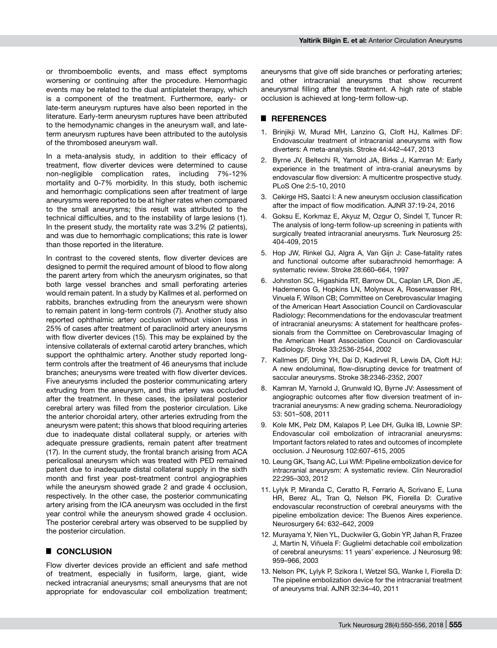or thromboembolic events, and mass effect symptoms worsening or continuing after the procedure. Hemorrhagic events may be related to the dual antiplatelet therapy, which is a component of the treatment. Furthermore, early- or late-term aneurysm ruptures have also been reported in the literature. Early-term aneurysm ruptures have been attributed to the hemodynamic changes in the aneurysm wall, and lateterm aneurysm ruptures have been attributed to the autolysis of the thrombosed aneurysm wall.

In a meta-analysis study, in addition to their efficacy of treatment, flow diverter devices were determined to cause non-negligible complication rates, including 7%-12% mortality and 0-7% morbidity. In this study, both ischemic and hemorrhagic complications seen after treatment of large aneurysms were reported to be at higher rates when compared to the small aneurysms; this result was attributed to the technical difficulties, and to the instability of large lesions (1). In the present study, the mortality rate was 3.2% (2 patients), and was due to hemorrhagic complications; this rate is lower than those reported in the literature.

In contrast to the covered stents, flow diverter devices are designed to permit the required amount of blood to flow along the parent artery from which the aneurysm originates, so that both large vessel branches and small perforating arteries would remain patent. In a study by Kallmes et al. performed on rabbits, branches extruding from the aneurysm were shown to remain patent in long-term controls (7). Another study also reported ophthalmic artery occlusion without vision loss in 25% of cases after treatment of paraclinoid artery aneurysms with flow diverter devices (15). This may be explained by the intensive collaterals of external carotid artery branches, which support the ophthalmic artery. Another study reported longterm controls after the treatment of 46 aneurysms that include branches; aneurysms were treated with flow diverter devices. Five aneurysms included the posterior communicating artery extruding from the aneurysm, and this artery was occluded after the treatment. In these cases, the ipsilateral posterior cerebral artery was filled from the posterior circulation. Like the anterior choroidal artery, other arteries extruding from the aneurysm were patent; this shows that blood requiring arteries due to inadequate distal collateral supply, or arteries with adequate pressure gradients, remain patent after treatment (17). In the current study, the frontal branch arising from ACA pericallosal aneurysm which was treated with PED remained patent due to inadequate distal collateral supply in the sixth month and first year post-treatment control angiographies while the aneurysm showed grade 2 and grade 4 occlusion, respectively. In the other case, the posterior communicating artery arising from the ICA aneurysm was occluded in the first year control while the aneurysm showed grade 4 occlusion. The posterior cerebral artery was observed to be supplied by the posterior circulation.

### █ **CONCLUSION**

Flow diverter devices provide an efficient and safe method of treatment, especially in fusiform, large, giant, wide necked intracranial aneurysms; small aneurysms that are not appropriate for endovascular coil embolization treatment;

aneurysms that give off side branches or perforating arteries; and other intracranial aneurysms that show recurrent aneurysmal filling after the treatment. A high rate of stable occlusion is achieved at long-term follow-up.

#### █ **REFERENCES**

- 1. Brinjikji W, Murad MH, Lanzino G, Cloft HJ, Kallmes DF: Endovascular treatment of intracranial aneurysms with flow diverters: A meta-analysis. Stroke 44:442–447, 2013
- 2. Byrne JV, Beltechi R, Yarnold JA, Birks J, Kamran M: Early experience in the treatment of intra-cranial aneurysms by endovascular flow diversion: A multicentre prospective study. PLoS One 2:5-10, 2010
- 3. Cekirge HS, Saatci I: A new aneurysm occlusion classification after the impact of flow modification. AJNR 37:19-24, 2016
- 4. Goksu E, Korkmaz E, Akyuz M, Ozgur O, Sindel T, Tuncer R: The analysis of long-term follow-up screening in patients with surgically treated intracranial aneurysms. Turk Neurosurg 25: 404-409, 2015
- 5. Hop JW, Rinkel GJ, Algra A, Van Gijn J: Case-fatality rates and functional outcome after subarachnoid hemorrhage: A systematic review. Stroke 28:660–664, 1997
- 6. Johnston SC, Higashida RT, Barrow DL, Caplan LR, Dion JE, Hademenos G, Hopkins LN, Molyneux A, Rosenwasser RH, Vinuela F, Wilson CB; Committee on Cerebrovascular Imaging of the American Heart Association Council on Cardiovascular Radiology: Recommendations for the endovascular treatment of intracranial aneurysms: A statement for healthcare professionals from the Committee on Cerebrovascular Imaging of the American Heart Association Council on Cardiovascular Radiology. Stroke 33:2536-2544, 2002
- 7. Kallmes DF, Ding YH, Dai D, Kadirvel R, Lewis DA, Cloft HJ: A new endoluminal, flow-disrupting device for treatment of saccular aneurysms. Stroke 38:2346-2352, 2007
- 8. Kamran M, Yarnold J, Grunwald IQ, Byrne JV: Assessment of angiographic outcomes after flow diversion treatment of intracranial aneurysms: A new grading schema. Neuroradiology 53: 501–508, 2011
- 9. Kole MK, Pelz DM, Kalapos P, Lee DH, Gulka IB, Lownie SP: Endovascular coil embolization of intracranial aneurysms: Important factors related to rates and outcomes of incomplete occlusion. J Neurosurg 102:607–615, 2005
- 10. Leung GK, Tsang AC, Lui WM: Pipeline embolization device for intracranial aneurysm: A systematic review. Clin Neuroradiol 22:295–303, 2012
- 11. Lylyk P, Miranda C, Ceratto R, Ferrario A, Scrivano E, Luna HR, Berez AL, Tran Q, Nelson PK, Fiorella D: Curative endovascular reconstruction of cerebral aneurysms with the pipeline embolization device: The Buenos Aires experience. Neurosurgery 64: 632–642, 2009
- 12. Murayama Y, Nien YL, Duckwiler G, Gobin YP, Jahan R, Frazee J, Martin N, Viñuela F: Guglielmi detachable coil embolization of cerebral aneurysms: 11 years' experience. J Neurosurg 98: 959–966, 2003
- 13. Nelson PK, Lylyk P, Szikora I, Wetzel SG, Wanke I, Fiorella D: The pipeline embolization device for the intracranial treatment of aneurysms trial. AJNR 32:34–40, 2011